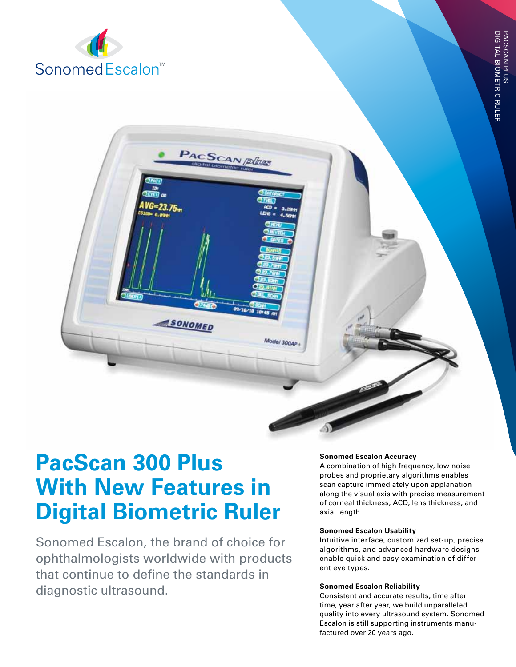

# **PacScan 300 Plus With New Features in Digital Biometric Ruler**

**SONOMED** 

PACSCAN *plius* 

Model 300AP

Sonomed Escalon, the brand of choice for ophthalmologists worldwide with products that continue to define the standards in diagnostic ultrasound.

# **Sonomed Escalon Accuracy**

A combination of high frequency, low noise probes and proprietary algorithms enables scan capture immediately upon applanation along the visual axis with precise measurement of corneal thickness, ACD, lens thickness, and axial length.

# **Sonomed Escalon Usability**

Intuitive interface, customized set-up, precise algorithms, and advanced hardware designs enable quick and easy examination of different eye types.

#### **Sonomed Escalon Reliability**

Consistent and accurate results, time after time, year after year, we build unparalleled quality into every ultrasound system. Sonomed Escalon is still supporting instruments manufactured over 20 years ago.